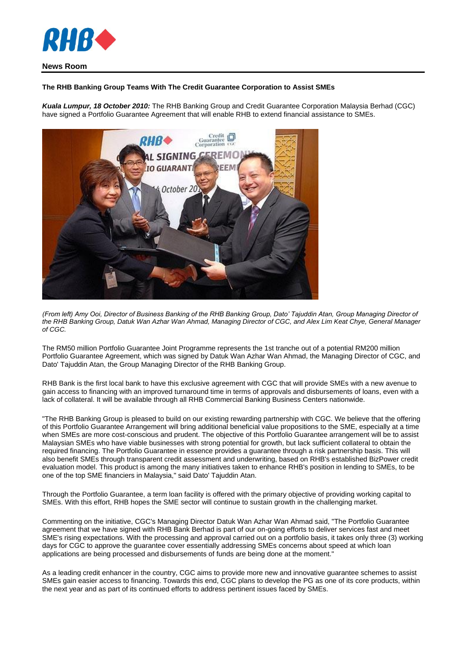

## **News Room**

## **The RHB Banking Group Teams With The Credit Guarantee Corporation to Assist SMEs**

*Kuala Lumpur, 18 October 2010:* The RHB Banking Group and Credit Guarantee Corporation Malaysia Berhad (CGC) have signed a Portfolio Guarantee Agreement that will enable RHB to extend financial assistance to SMEs.



*(From left) Amy Ooi, Director of Business Banking of the RHB Banking Group, Dato' Tajuddin Atan, Group Managing Director of the RHB Banking Group, Datuk Wan Azhar Wan Ahmad, Managing Director of CGC, and Alex Lim Keat Chye, General Manager of CGC.*

The RM50 million Portfolio Guarantee Joint Programme represents the 1st tranche out of a potential RM200 million Portfolio Guarantee Agreement, which was signed by Datuk Wan Azhar Wan Ahmad, the Managing Director of CGC, and Dato' Tajuddin Atan, the Group Managing Director of the RHB Banking Group.

RHB Bank is the first local bank to have this exclusive agreement with CGC that will provide SMEs with a new avenue to gain access to financing with an improved turnaround time in terms of approvals and disbursements of loans, even with a lack of collateral. It will be available through all RHB Commercial Banking Business Centers nationwide.

"The RHB Banking Group is pleased to build on our existing rewarding partnership with CGC. We believe that the offering of this Portfolio Guarantee Arrangement will bring additional beneficial value propositions to the SME, especially at a time when SMEs are more cost-conscious and prudent. The objective of this Portfolio Guarantee arrangement will be to assist Malaysian SMEs who have viable businesses with strong potential for growth, but lack sufficient collateral to obtain the required financing. The Portfolio Guarantee in essence provides a guarantee through a risk partnership basis. This will also benefit SMEs through transparent credit assessment and underwriting, based on RHB's established BizPower credit evaluation model. This product is among the many initiatives taken to enhance RHB's position in lending to SMEs, to be one of the top SME financiers in Malaysia," said Dato' Tajuddin Atan.

Through the Portfolio Guarantee, a term loan facility is offered with the primary objective of providing working capital to SMEs. With this effort, RHB hopes the SME sector will continue to sustain growth in the challenging market.

Commenting on the initiative, CGC's Managing Director Datuk Wan Azhar Wan Ahmad said, "The Portfolio Guarantee agreement that we have signed with RHB Bank Berhad is part of our on-going efforts to deliver services fast and meet SME's rising expectations. With the processing and approval carried out on a portfolio basis, it takes only three (3) working days for CGC to approve the guarantee cover essentially addressing SMEs concerns about speed at which loan applications are being processed and disbursements of funds are being done at the moment."

As a leading credit enhancer in the country, CGC aims to provide more new and innovative guarantee schemes to assist SMEs gain easier access to financing. Towards this end, CGC plans to develop the PG as one of its core products, within the next year and as part of its continued efforts to address pertinent issues faced by SMEs.